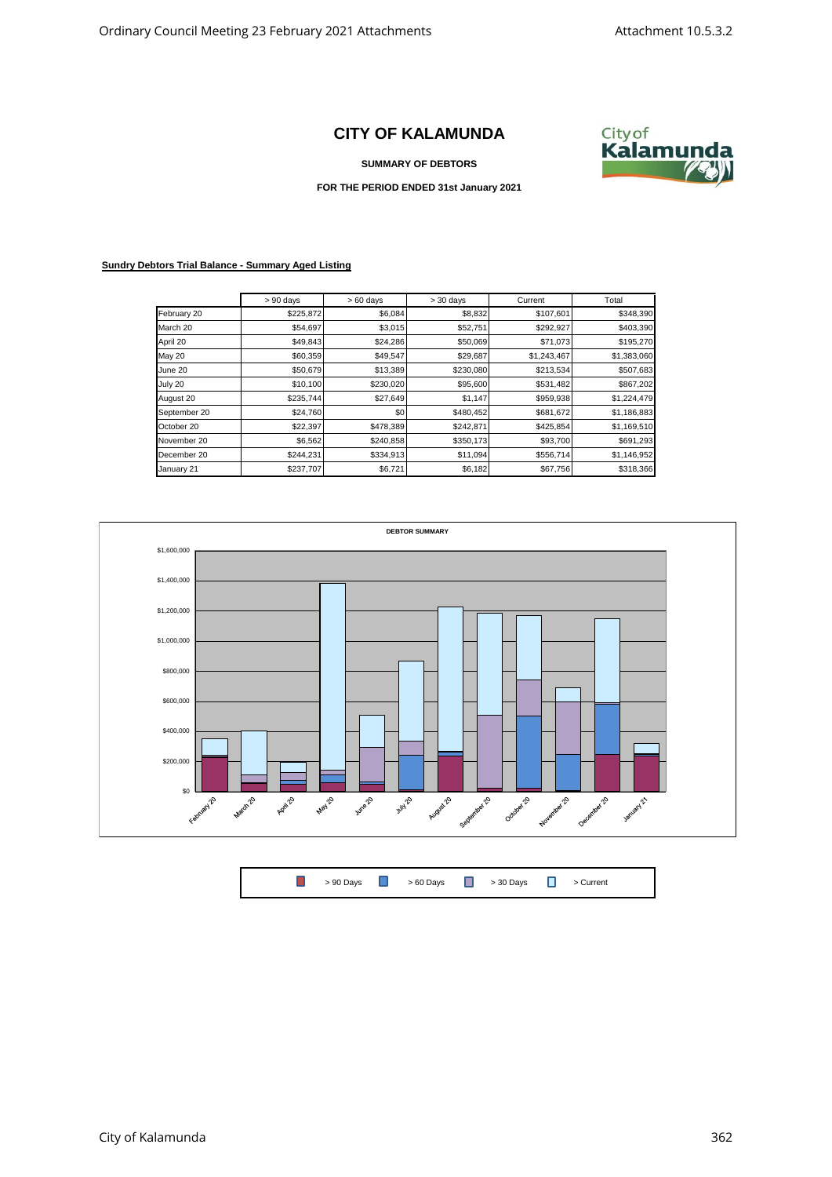## **CITY OF KALAMUNDA**

**SUMMARY OF DEBTORS**



**FOR THE PERIOD ENDED 31st January 2021**

## **Sundry Debtors Trial Balance - Summary Aged Listing**

|              | $> 90$ days | $>60$ days | $> 30$ days | Current     | Total       |
|--------------|-------------|------------|-------------|-------------|-------------|
| February 20  | \$225,872   | \$6,084    | \$8,832     | \$107,601   | \$348,390   |
| March 20     | \$54,697    | \$3,015    | \$52,751    | \$292,927   | \$403,390   |
| April 20     | \$49,843    | \$24,286   | \$50,069    | \$71,073    | \$195,270   |
| May 20       | \$60,359    | \$49,547   | \$29,687    | \$1,243,467 | \$1,383,060 |
| June 20      | \$50,679    | \$13,389   | \$230,080   | \$213,534   | \$507,683   |
| July 20      | \$10,100    | \$230,020  | \$95,600    | \$531,482   | \$867,202   |
| August 20    | \$235,744   | \$27,649   | \$1,147     | \$959,938   | \$1,224,479 |
| September 20 | \$24,760    | \$0        | \$480,452   | \$681,672   | \$1,186,883 |
| October 20   | \$22,397    | \$478,389  | \$242,871   | \$425,854   | \$1,169,510 |
| November 20  | \$6,562     | \$240,858  | \$350,173   | \$93,700    | \$691,293   |
| December 20  | \$244,231   | \$334,913  | \$11,094    | \$556,714   | \$1,146,952 |
| January 21   | \$237,707   | \$6,721    | \$6,182     | \$67,756    | \$318,366   |



 $\Box$ > 90 Days **D** > 60 Days **D** > 30 Days **D** > Current